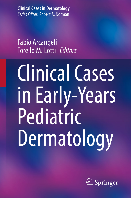**Clinical Cases in Dermatology** *Series Editor:* Robert A. Norman

## Fabio Arcangeli Torello M. Lotti  *Editors*

# Clinical Cases in Early-Years Pediatric Dermatology

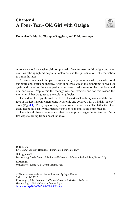### **Chapter 4 A Four- Year- Old Girl with Otalgia**



**Domenico Di Maria, Giuseppe Ruggiero, and Fabio Arcangeli**

A four-year-old caucasian girl complained of ear fullness, mild otalgia and poor otorrhea. The symptoms began in September and the girl came to ENT observation two months later.

At symptoms onset, the patient was seen by a pediatrician who prescribed oral antibiotic and cortisone therapy. After about two weeks the symptoms showed up again and therefore the same pediatrician prescribed intramuscular antibiotic and oral cortisone. Despite this the therapy was not effective and for this reason the mother took her daughter to the otolaryngologist.

The video-otoscopy showed the skin of the external auditory canal and the outer face of the left tympanic membrane hyperemic and covered with a whitish "patchy" cloth (Fig. [4.1\)](#page-2-0). The tympanometry was normal for both ears. The latter therefore excluded middle ear involvement (effusive otitis media, acute otitis media).

The clinical history documented that the symptoms began in September after a few days returning from a beach holiday.

D. Di Maria ENT Unit, "San Pio" Hospital of Benevento, Benevento, Italy

G. Ruggiero  $(\boxtimes)$ Dermatology Study Group of the Italian Federation of General Pediatricians, Rome, Italy

F. Arcangeli University of Rome "G.Marconi", Rome, Italy

© The Author(s), under exclusive license to Springer Nature 17 Switzerland AG 2022 F. Arcangeli, T. M. Lotti (eds.), *Clinical Cases in Early-Years Pediatric Dermatology*, Clinical Cases in Dermatology, [https://doi.org/10.1007/978-3-030-89089-6\\_4](https://doi.org/10.1007/978-3-030-89089-6_4#DOI)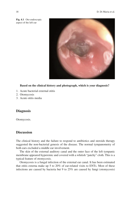<span id="page-2-0"></span>

**Fig. 4.1** Oto-endoscopic aspect of the left ear

**Based on the clinical history and photograph, which is your diagnosis?**

- 1. Acute bacterial external otitis
- 2. Otomycosis
- 3. Acute otitis media

#### **Diagnosis**

Otomycosis.

#### **Discussion**

The clinical history and the failure to respond to antibiotics and steroids therapy suggested the non-bacterial genesis of the disease. The normal tympanometry of both ears excluded a middle ear involvement.

The skin of the external auditory canal and the outer face of the left tympanic membrane appeared hyperemic and covered with a whitish "patchy" cloth. This is a typical feature of otomycosis.

Otomycosis is a fungal infection of the external ear canal. It has been estimated that otitis externa make up 5 to 20% of ear-related visits to ENTs. Most of these infections are caused by bacteria but 9 to 25% are caused by fungi (otomycosis)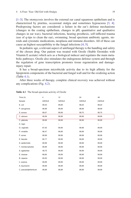[\[1](#page-4-0)[–3](#page-4-1)]. The otomycosis involves the external ear canal squamous epithelium and is characterized by pruritus, occasional otalgia and sometimes hypoacusia [[3,](#page-4-1) [4\]](#page-4-2). Predisposing factors are considered: a failure in the ear's defense mechanisms (changes in the coating epithelium, changes in pH, quantitative and qualitative changes in ear wax), bacterial infections, hearing prosthesis, self-inficted trauma (use of q-tips to clean the ear), swimming, broad spectrum antibiotic agents, steroids and cytostatic medications, neoplasia and immune disorders. All of these can cause an highest susceptibility to the fungal infections [\[4](#page-4-2), [5](#page-4-3)].

In pediatric age, a relevant aspect of antifungal therapy is the handling and safety of the chosen drug. Our patient was treated with Ozoile (Stable Ozonides with Vitamin E acetate) which acts as a biological inducer and regulates the main metabolic pathways. Ozoile also stimulates the endogenous defense system and through the regulation of gene transcription promotes tissue regeneration and damageinjury repair.

It has a broad-spectrum microbicide activity due to its high affnity for the lipoprotein components of the bacterial and fungal wall and for the oxidizing action (Table [4.1](#page-3-0)).

After three weeks of therapy, complete clinical recovery was achieved without any complications (Fig. [4.2](#page-4-4)).

| Time (h)              | $\overline{4}$ | 12            | 24            | 48            |
|-----------------------|----------------|---------------|---------------|---------------|
| Sample                | <b>OZOILE</b>  | <b>OZOILE</b> | <b>OZOILE</b> | <b>OZOILE</b> |
| E. coil               | 99,40          | 99,99         | 98,20         | 98,20         |
| P. aeruginosa         | 99,99          | 99,99         | 98,99         | 98,99         |
| S. aureus             | 99,07          | 99,99         | 99,70         | 99,70         |
| C. abicans            | 99,99          | 99,99         | 99,99         | 99,99         |
| C. glabrata           | 99,99          | 99,99         | 99,99         | 99,99         |
| A. niger              | -              | -             | -             | -             |
| G. vaginalis          | 87,50          | 99,99         | 99,99         | 99,99         |
| P. mirabilis          | 96,47          | 99,99         | 99,99         | 99,99         |
| P. acnes              | 99,99          | 99,99         | 99,99         | 99,99         |
| E. faecalis           | 82,77          | 99,99         | 99,99         | 99,99         |
| S. epidermidis        | 99,99          | 99,99         | 99,99         | 99,99         |
| T. mentacrophytes     | 99,99          | 99,99         | 99,99         | 99,99         |
| S. agalactiae         | 48,75          | 99,99         | 99,99         | 99,99         |
| E. cloacae            | 68,60          | 99,99         | 99,99         | 99,99         |
| B. cepacia            | 90,00          | 99,99         | 99,99         | 99,99         |
| k. oxytoca            | 99,99          | 99,99         | 99,99         | 99,99         |
| A. baumannii          | 99,99          | 99,99         | 99,99         | 99,99         |
| C. pseudodiphterticum | 99,99          | 99,99         | 99,99         | 99,99         |

<span id="page-3-0"></span>**Table 4.1** The broad-spectrum activity of Ozoile